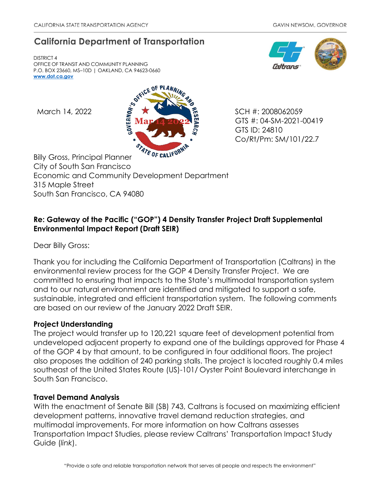## **California Department of Transportation**

DISTRICT 4 OFFICE OF TRANSIT AND COMMUNITY PLANNING P.O. BOX 23660, MS–10D | OAKLAND, CA 94623-0660 **[www.dot.ca.gov](http://www.dot.ca.gov/)**



GTS #: 04-SM-2021-00419 GTS ID: 24810 Co/Rt/Pm: SM/101/22.7

Billy Gross, Principal Planner City of South San Francisco Economic and Community Development Department 315 Maple Street South San Francisco, CA 94080

## **Re: Gateway of the Pacific ("GOP") 4 Density Transfer Project Draft Supplemental Environmental Impact Report (Draft SEIR)**

Dear Billy Gross:

Thank you for including the California Department of Transportation (Caltrans) in the environmental review process for the GOP 4 Density Transfer Project. We are committed to ensuring that impacts to the State's multimodal transportation system and to our natural environment are identified and mitigated to support a safe, sustainable, integrated and efficient transportation system. The following comments are based on our review of the January 2022 Draft SEIR.

## **Project Understanding**

The project would transfer up to 120,221 square feet of development potential from undeveloped adjacent property to expand one of the buildings approved for Phase 4 of the GOP 4 by that amount, to be configured in four additional floors. The project also proposes the addition of 240 parking stalls. The project is located roughly 0.4 miles southeast of the United States Route (US)-101/ Oyster Point Boulevard interchange in South San Francisco.

## **Travel Demand Analysis**

With the enactment of Senate Bill (SB) 743, Caltrans is focused on maximizing efficient development patterns, innovative travel demand reduction strategies, and multimodal improvements. For more information on how Caltrans assesses Transportation Impact Studies, please review Caltrans' [Transportation Impact Study](https://dot.ca.gov/-/media/dot-media/programs/transportation-planning/documents/sb-743/2020-05-20-approved-vmt-focused-tisg-a11y.pdf)  [Guide \(](https://dot.ca.gov/-/media/dot-media/programs/transportation-planning/documents/sb-743/2020-05-20-approved-vmt-focused-tisg-a11y.pdf)*[link](https://dot.ca.gov/-/media/dot-media/programs/transportation-planning/documents/sb-743/2020-05-20-approved-vmt-focused-tisg-a11y.pdf)*[\).](https://dot.ca.gov/-/media/dot-media/programs/transportation-planning/documents/sb-743/2020-05-20-approved-vmt-focused-tisg-a11y.pdf)